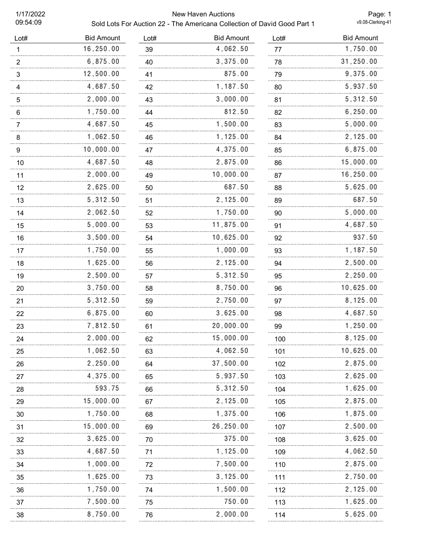09:54:09

## 1/17/2022 New Haven Auctions

Sold Lots For Auction 22 - The Americana Collection of David Good Part 1

Page: 1<br>v9.08-Clerking-41

| Lot#                  | <b>Bid Amount</b> | Lot# | <b>Bid Amount</b> | Lot#    | <b>Bid Amount</b> |
|-----------------------|-------------------|------|-------------------|---------|-------------------|
| 1                     | 16,250.00         | 39   | 4,062.50          | 77      | 1,750.00          |
| $\frac{2}{\cdots}$    | 6,875.00          | 40   | 3,375.00          | 78      | $31\,, 250\,.00$  |
| $\mathbf{3}$          | 12,500.00         | 41   | 875.00            | 79      | 9,375.00          |
| $\overline{4}$        | 4,687.50          | 42   | 1,187.50          | 80      | 5,937.50          |
| $\sqrt{5}$            | 2,000.00          | 43   | 3,000.00          | 81      | 5,312.50          |
| 6                     | 1,750.00          | 44   | 812.50            | 82      | 6, 250.00         |
| $\overline{7}$        | 4,687.50          | 45   | 1,500.00          | 83      | 5,000.00          |
| 8                     | 1,062.50          | 46   | 1,125.00          | 84      | 2,125.00          |
| $\boldsymbol{9}$<br>. | 10,000.00         | 47   | 4,375.00          | 85<br>. | 6,875.00          |
| 10                    | 4,687.50          | 48   | 2,875.00          | 86      | 15,000.00         |
| 11                    | 2,000.00          | 49   | 10,000.00         | 87      | 16,250.00         |
| 12                    | 2,625.00          | 50   | 687.50            | 88      | 5,625.00          |
| 13                    | 5,312.50          | 51   | 2,125.00          | 89      | 687.50            |
| 14                    | 2,062.50          | 52   | 1,750.00          | 90      | 5,000.00          |
| 15                    | 5,000.00          | 53   | 11,875.00         | 91      | 4,687.50          |
| 16                    | 3,500.00          | 54   | 10,625.00         | 92      | 937.50            |
| 17                    | 1,750.00          | 55   | 1,000.00          | 93      | 1,187.50          |
| 18                    | 1,625.00          | 56   | 2,125.00          | 94      | 2,500.00          |
| 19                    | 2,500.00          | 57   | 5,312.50          | 95      | 2,250.00          |
| 20                    | 3,750.00          | 58   | 8,750.00          | 96      | 10,625.00         |
| 21                    | 5,312.50          | 59   | 2,750.00          | 97      | 8,125.00          |
| 22                    | 6,875.00          | 60   | 3,625.00          | 98      | 4,687.50          |
| 23                    | 7,812.50          | 61   | 20,000.00         | 99      | 1,250.00          |
| 24                    | 2,000.00          | 62   | 15,000.00         | 100     | 8,125.00          |
| 25                    | 1,062.50          | 63   | 4,062.50          | 101     | 10,625.00         |
| 26                    | 2,250.00          | 64   | 37,500.00         | 102     | 2,875.00          |
| 27                    | 4,375.00          | 65   | 5,937.50          | 103     | 2,625.00          |
| 28                    | 593.75            | 66   | 5,312.50          | 104     | 1,625.00          |
| 29                    | 15,000.00         | 67   | 2,125.00          | 105     | 2,875.00          |
| 30                    | 1,750.00          | 68   | 1,375.00          | 106     | 1,875.00          |
| 31                    | 15,000.00         | 69   | 26,250.00         | 107     | 2,500.00          |
| 32                    | 3,625.00          | 70   | 375.00            | 108     | 3,625.00          |
| 33                    | 4,687.50          | 71   | 1,125.00          | 109     | 4,062.50          |
| 34                    | 1,000.00          | 72   | 7,500.00          | 110     | 2,875.00          |
| 35                    | 1,625.00          | 73   | 3, 125.00         | 111     | 2,750.00          |
| 36                    | 1,750.00          | 74   | 1,500.00          | 112     | 2,125.00          |
| 37                    | 7,500.00          | 75   | 750.00            | 113     | 1,625.00          |
| 38                    | 8,750.00          | 76   | 2,000.00          | 114     | 5,625.00          |
|                       |                   |      |                   |         |                   |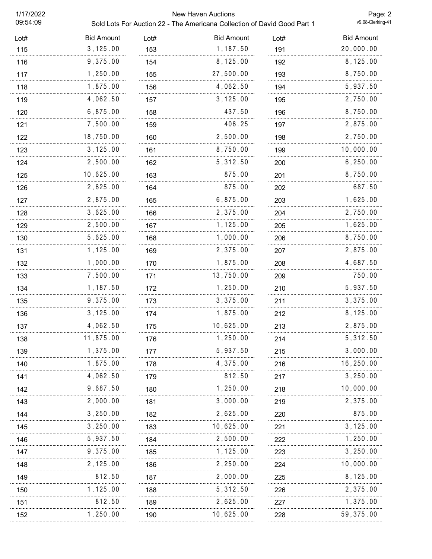09:54:09

## 1/17/2022 New Haven Auctions

Sold Lots For Auction 22 - The Americana Collection of David Good Part 1

Page: 2<br>v9.08-Clerking-41

| Lot# | <b>Bid Amount</b> | Lot# | <b>Bid Amount</b> | Lot# | <b>Bid Amount</b> |
|------|-------------------|------|-------------------|------|-------------------|
| 115  | 3, 125.00         | 153  | 1,187.50          | 191  | 20,000.00         |
| 116  | 9,375.00          | 154  | 8,125.00          | 192  | 8,125.00          |
| 117  | 1,250.00          | 155  | 27,500.00         | 193  | 8,750.00          |
| 118  | 1,875.00          | 156  | 4,062.50          | 194  | 5,937.50          |
| 119  | 4,062.50          | 157  | 3, 125.00         | 195  | 2,750.00          |
| 120  | 6,875.00          | 158  | 437.50            | 196  | 8,750.00          |
| 121  | 7,500.00          | 159  | 406.25            | 197  | 2,875.00          |
| 122  | 18,750.00         | 160  | 2,500.00          | 198  | 2,750.00          |
| 123  | 3, 125.00         | 161  | 8,750.00          | 199  | 10,000.00         |
| 124  | 2,500.00          | 162  | 5,312.50          | 200  | 6, 250.00         |
| 125  | 10,625.00         | 163  | 875.00            | 201  | 8,750.00          |
| 126  | 2,625.00          | 164  | 875.00            | 202  | 687.50            |
| 127  | 2,875.00          | 165  | 6,875.00          | 203  | 1,625.00          |
| 128  | 3,625.00          | 166  | 2,375.00          | 204  | 2,750.00          |
| 129  | 2,500.00          | 167  | 1,125.00          | 205  | 1,625.00          |
| 130  | 5,625.00          | 168  | 1,000.00          | 206  | 8,750.00          |
| 131  | 1,125.00          | 169  | 2,375.00          | 207  | 2,875.00          |
| 132  | 1,000.00          | 170  | 1,875.00          | 208  | 4,687.50          |
| 133  | 7,500.00          | 171  | 13,750.00         | 209  | 750.00            |
| 134  | 1,187.50          | 172  | 1,250.00          | 210  | 5,937.50          |
| 135  | 9,375.00          | 173  | 3,375.00          | 211  | 3,375.00          |
| 136  | 3, 125.00         | 174  | 1,875.00          | 212  | 8, 125.00         |
| 137  | 4,062.50          | 175  | 10,625.00         | 213  | 2,875.00          |
| 138  | 11,875.00         | 176  | 1,250.00          | 214  | 5,312.50          |
| 139  | 1,375.00          | 177  | 5,937.50          | 215  | 3,000.00          |
| 140  | 1,875.00          | 178  | 4,375.00          | 216  | 16,250.00         |
| 141  | 4,062.50          | 179  | 812.50            | 217  | 3, 250.00         |
| 142  | 9,687.50          | 180  | 1,250.00          | 218  | 10,000.00         |
| 143  | 2,000.00          | 181  | 3,000.00          | 219  | 2,375.00          |
| 144  | 3, 250.00         | 182  | 2,625.00          | 220  | 875.00            |
| 145  | 3,250.00          | 183  | 10,625.00         | 221  | 3,125.00          |
| 146  | 5,937.50          | 184  | 2,500.00          | 222  | 1,250.00          |
| 147  | 9,375.00          | 185  | 1,125.00          | 223  | 3,250.00          |
| 148  | 2,125.00          | 186  | 2,250.00          | 224  | 10,000.00         |
| 149  | 812.50            | 187  | 2,000.00          | 225  | 8,125.00          |
| 150  | 1,125.00          | 188  | 5,312.50          | 226  | 2,375.00          |
| 151  | 812.50            | 189  | 2,625.00          | 227  | 1,375.00          |
| 152  | 1,250.00          | 190  | 10,625.00         | 228  | 59,375.00         |
|      |                   |      |                   |      |                   |